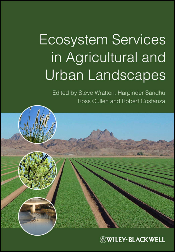## **Ecosystem Services** in Agricultural and **Urban Landscapes**

Edited by Steve Wratten, Harpinder Sandhu **Boss Cullen and Bobert Costanza** 

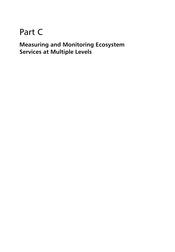# Part C

**Measuring and Monitoring Ecosystem Services at Multiple Levels**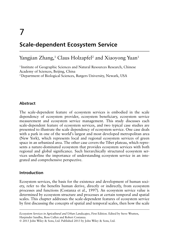# **Scale-dependent Ecosystem Service**

# Yangjian Zhang,<sup>1</sup> Claus Holzapfel<sup>2</sup> and Xiaoyong Yuan<sup>1</sup>

<sup>1</sup> Institute of Geographic Sciences and Natural Resources Research, Chinese Academy of Sciences, Beijing, China 2 Department of Biological Sciences, Rutgers University, Newark, USA

### **Abstract**

The scale-dependent feature of ecosystem services is embodied in the scale dependency of ecosystem provider, ecosystem beneficiary, ecosystem service measurement and ecosystem service management. This study discusses each scale-dependent feature of ecosystem services, and two typical case studies are presented to illustrate the scale dependency of ecosystem service. One case deals with a park in one of the world's largest and most developed metropolitan area (New York), which represents local and regional ecosystem services of green space in an urbanized area. The other case covers the Tibet plateau, which represents a nature-dominated ecosystem that provides ecosystem services with both regional and global significance. Such hierarchically structured ecosystem services underline the importance of understanding ecosystem service in an integrated and comprehensive perspective.

#### **Introduction**

Ecosystem services, the basis for the existence and development of human society, refer to the benefits human derive, directly or indirectly, from ecosystem processes and functions (Costanza et al., 1997). An ecosystem service value is determined by ecosystem structure and processes at certain temporal and spatial scales. This chapter addresses the scale-dependent features of ecosystem service by first discussing the concepts of spatial and temporal scales, then how the scale

# 7

*Ecosystem Services in Agricultural and Urban Landscapes*, First Edition. Edited by Steve Wratten, Harpinder Sandhu, Ross Cullen and Robert Costanza.

<sup>© 2013</sup> John Wiley & Sons, Ltd. Published 2013 by John Wiley & Sons, Ltd.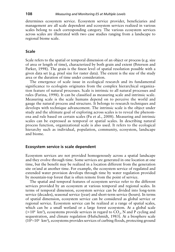determines ecosystem service. Ecosystem service provider, beneficiaries and management are all scale dependent and ecosystem services realized in various scales belong to each corresponding category. The various ecosystem services across scales are illustrated with two case studies ranging from a landscape to regional biome scale.

#### **Scale**

Scale refers to the spatial or temporal dimension of an object or process (e.g. size of area or length of time), characterized by both grain and extent (Peterson and Parker, 1998). The grain is the finest level of spatial resolution possible with a given data set (e.g. pixel size for raster data). The extent is the size of the study area or the duration of time under consideration.

The emergence of scale issue in ecological research and its fundamental significance to ecologists originates from the complex hierarchical organization feature of natural processes. Scale is intrinsic to all natural processes and rules (Farina, 1998). It can be classified as measuring scale and intrinsic scale. Measuring scale is the scale humans depend on to perceive the world and gauge the natural process and structure. It belongs to research techniques and develops with technique advancement. The intrinsic scale is the object under study and the ultimate goal of exploring across scales is to reveal the phenomena and rule based on certain scales (Fu et al., 2008). Measuring and intrinsic scales can be expressed as temporal or spatial scales. In describing natural process function, organizational scale is also used. It refers to the ecological hierarchy such as individual, population, community, ecosystem, landscape and biome.

#### **Ecosystem service is scale dependent**

Ecosystem services are not provided homogenously across a spatial landscape and they evolve through time. Some services are generated in one location at one time, but the benefit may be realized in a location different from the generation site or/and at another time. For example, the ecosystem service of regulated and extended water provision develops through time by water regulation provided by mountain-top forest that is often remote from the point of service.

The spatial and temporal features of ecosystem service refer to the different services provided by an ecosystem at various temporal and regional scales. In terms of temporal dimension, ecosystem service can be divided into long-term service (decades), seasonal service (year) and short-term service (hours). In terms of spatial dimension, ecosystem service can be considered as global service or regional service. Ecosystem service can be realized at a range of spatial scales, which can be a small wetland or a large forest ecosystem. At a global scale ( $>10^6$  km<sup>2</sup>), ecosystems provide services in regard to CO<sub>2</sub>, N and P cycling and sequestration, and climate regulation (Hufschmidt, 1983). At a biosphere scale  $(10<sup>4</sup>-10<sup>6</sup>$  km<sup>2</sup>), ecosystems provides services of curbing floods, protecting ground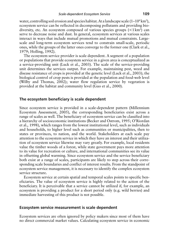water, controlling soil erosion and species habitat. At a landscape scale (1–10<sup>4</sup> km<sup>2</sup>), ecosystem service can be reflected in decomposing pollutants and providing biodiversity, etc. An ecosystem composed of various species groups (<1 km2 ) can serve to decrease noise and dust. In general, ecosystem services at various scales interact in ways that include mutual promotions and mutual constraints. Largescale and long-term ecosystem services tend to constrain small-scale, periodic ones, while the groups of the latter ones converge to the former one (Clark et al., 1979; Holling, 1992).

The ecosystem service provider is scale dependent. A segment of a population or populations that provide ecosystem service in a given area is conceptualized as a service-providing unit (Luck et al., 2003). The scale of the service-providing unit determines the services output. For example, maintaining pest, weed and disease resistance of crops is provided at the genetic level (Luck et al., 2003); the biological control of crop pests is provided at the population and food-web level (Wilby and Thomas, 2002); water flow regulation service by vegetation is provided at the habitat and community level (Guo et al., 2000).

#### **The ecosystem beneficiary is scale dependent**

Since ecosystem service is provided in a scale-dependent pattern (Millennium Ecosystem Assessment, 2005), the corresponding beneficiaries exist across a range of scales as well. The beneficiary of ecosystem service can be classified into a hierarchy of socioeconomic institutions (Becker and Ostrom, 1995; O'Riordan et al., 1998), which ranges from the lowest institutional level, such as individuals and households, to higher level such as communities or municipalities, then to states or provinces, to nation, and the world. Stakeholders at each scale pay attention to the ecosystem service in which they have an interest and their utilization of ecosystem service likewise may vary greatly. For example, local residents value the timber woods of a forest, while state government pays more attention to its value for recreation or culture, and international communities see its value in offsetting global warming. Since ecosystem service and the service beneficiary both exist at a range of scales, participants are likely to step across their corresponding scale boundaries and conflict of interest results. From the standpoint of ecosystem service management, it is necessary to identify the complex ecosystem service structure.

Ecosystem service at certain spatial and temporal scales points to specific beneficiaries. The value of ecosystem service is highly related to the action of the beneficiary. It is perceivable that a service cannot be utilized if, for example, an ecosystem is providing a product for a short period only (e.g. wild berries) and immediate harvesting of this product is not possible.

#### **Ecosystem service measurement is scale dependent**

Ecosystem services are often ignored by policy makers since most of them have no direct commercial market values. Calculating ecosystem service in economic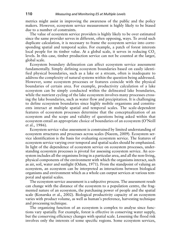metrics might assist in improving the awareness of the public and the policy makers. However, ecosystem service measurement is highly likely to be biased due to a number of constraints.

The value of ecosystem service providers is highly likely to be over estimated since the same provider serves in different, often opposing, ways. To avoid such duplicate calculation, it is necessary to frame the ecosystem service into corresponding spatial and temporal scales. For example, a patch of forest interests local people for its timber value. At a global scale, it serves in reducing  $CO<sub>2</sub>$ levels. In this case, timber production service can not be counted at the larger, global scale.

Ecosystem boundary delineation can affect ecosystem service assessment fundamentally. Simply defining ecosystem boundaries based on easily identified physical boundaries, such as a lake or a stream, often is inadequate to address the complexity of natural systems within the question being addressed. However, some ecosystem processes or features coincide with the physical boundaries of certain area. For example, productivity calculation of a lake ecosystem can be simply conducted within the delineated lake boundaries, while the nutrient cycling of the lake ecosystem involves many processes crossing the lake boundaries, such as water flow and precipitation. It is challenging to define ecosystem boundaries since highly mobile organisms and constituents interact at multiple spatial and temporal scales. The scale-dependent features of ecosystem processes determine that the conceptualization of an ecosystem and the scope and validity of questions being asked within that ecosystem entail an appropriate choice of boundaries of an ecosystem (O'Neill et al., 1986).

Ecosystem service value assessment is constrained by limited understanding of ecosystem structures and processes across scales (Naeem, 2009). Ecosystem service identification is the basis for evaluating ecosystem service. The features of ecosystem service varying over temporal and spatial scales should be emphasized. In light of the dependence of ecosystem service on ecosystem processes, understanding ecosystem processes is pivotal for assessing ecosystem service. An ecosystem includes all the organisms living in a particular area, and all the non-living, physical components of the environment with which the organisms interact, such as air, soil, water and sunlight (Odum, 1971). From the standpoint of valuing an ecosystem, an ecosystem can be interpreted as interactions between biological organisms and environment which as a whole can output services at various temporal and spatial scales.

The ecosystem service assessment is a subjective process. The assessment result can change with the distance of the ecosystem to a population centre, the fragmented nature of an ecosystem, the purchasing power of people and the spatial scale (Konarska et al., 2002). Biological productivity capacity of an ecosystem varies with product volume, as well as human's preference, harvesting technique and processing technique.

The organizing function of an ecosystem is complex to analyse since functions vary spatially. For example, forest is effective in conserving water supply, but the conserving efficiency changes with spatial scale. Lessening the flood risk involves only the interests of some specific regions. Some ecosystem services,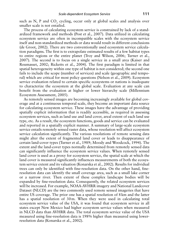such as N, P and  $CO_2$  cycling, occur only at global scales and analysis over smaller scale is not entailed.

The process of calculating ecosystem service is constrained by lack of a standardized framework and methods (Post et al., 2007). Data utilized in calculating ecosystem service are often in incompatible scales with the ecosystem service itself and non-standardized methods or data would result in different conclusions (de Groot, 2002). There are two conventionally used ecosystem service calculation paradigms. The first is to extrapolate estimated results of a few habitat types to entire regions or the entire planet (Troy and Wilson, 2006; Turner et al., 2007). The second is to focus on a single service in a small area (Kaiser and Roumasset, 2002; Ricketts et al., 2004). The first paradigm is limited in that spatial heterogeneity within one type of habitat is not considered; the second one fails to include the scope (number of services) and scale (geographic and temporal) which are critical for most policy questions (Nelson et al., 2009). Ecosystem service evaluation related to certain specific ecosystems or nations is inadequate to characterize the ecosystem at the global scale. Evaluation at any scale can benefit from the evaluation at higher or lower hierarchy scale (Millennium Ecosystem Assessment, 2005).

As remotely sensed images are becoming increasingly available for global coverage and at a continuous temporal scale, they become an important data source for calculating ecosystem service. These images have the advantage of providing spatially explicit information that is readily accessible, as required in assessing ecosystem services, such as land use and land cover, areal extent of each land use type, etc. As a result, the ecosystem functions, goods and service can be evaluated and reported in a spatially explicit manner. A summary of large-scale ecosystem service entails remotely sensed raster data, whose resolution will affect ecosystem service calculation significantly. The various resolutions of remote sensing data might alter the extent of fragmented land cover or leads to disappearance of certain land-cover types (Turner et al., 1989; Moody and Woodcock, 1994). The extent and the land-cover types normally determined from remotely sensed data can significantly influence the ecosystem service values. When remotely sensed land cover is used as a proxy for ecosystem service, the spatial scale at which the land cover is measured significantly influences measurements of both the ecosystem service extent and its valuation (Konarska et al., 2002). Results for individual trees can only be identified with fine-resolution data. On the other hand, fineresolution data can identify the small coverage area, such as a small lake corner or a narrow river. Then extent of these complex landscape bodies will be expanded by fine-resolution data. Consequently, the related ecosystem services will be increased. For example, NOAA-AVHRR imagery and National Landcover Dataset (NLCD) are the two commonly used remote sensed imageries that have entire US coverage. The prior one has a spatial resolution of 8 km and the latter has a spatial resolution of 30 m. When they were used in calculating total ecosystem service value of the USA, it was found that ecosystem service in all states except New Mexico had higher ecosystem service values when measured in NLCD data than AVHRR data. The total ecosystem service value of the USA measured using fine-resolution data is 198% higher than measured using lowerresolution data (Konarska et al., 2002).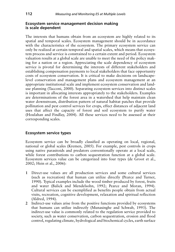### **Ecosystem service management decision making is scale dependent**

The interests that humans obtain from an ecosystem are highly related to its spatial and temporal scales. Ecosystem management should be in accordance with the characteristics of the ecosystem. The primary ecosystem service can only be realized at certain temporal and spatial scales, which means that ecosystem process and service is constrained to a certain extent and period. Ecosystem valuation results at a global scale are unable to meet the need of the policy making for a nation or a region. Appreciating the scale dependency of ecosystem service is pivotal for determining the interests of different stakeholders and establishing compensation payments to local stakeholders that face opportunity costs of ecosystem conservation. It is critical to make decisions on landscapelevel conservation and management plans and ecosystem management at an appropriate institutional scale and implement ecosystem conservation and landuse planning (Tacconi, 2000). Separating ecosystem services into distinct scales is important in allocating interests appropriately to the stakeholders. Examples are determinations of the forest area in a watershed that help maintain clean water downstream, distribution pattern of natural habitat patches that provide pollination and pest control services for crops, effect distances of adjacent land uses that affect the capacity of forest and soil ecosystem to purify water (Houlahan and Findlay, 2004). All these services need to be assessed at their corresponding scales.

## **Ecosystem service types**

Ecosystem service can be broadly classified as operating on local, regional, national or global scales (Kremen, 2005). For example, pest controls in crops using native parasitoids and predators conventionally operate at a local scale, while forest contributions to carbon sequestration function at a global scale. Ecosystem services value can be categorized into four types (de Groot et al., 2002; Hein et al., 2006):

- **1** Direct-use values are all production services and some cultural services (such as recreation) that human can utilize directly (Pearce and Turner, 1990). Typical examples include the wood timber produced by forest, fruits and water (Balick and Mendelsohn, 1992; Pearce and Moran, 1994). Cultural services can be exemplified as benefits people obtain from actual visits, recreation, cognitive development, relaxation and spiritual reflection (Aldred, 1994).
- **2** Indirect-use values arise from the positive functions provided by ecosystems that humans can utilize indirectly (Munasinghe and Schwab, 1993). The indirect-use value is commonly related to the regulation service provided to society, such as water conservation, carbon sequestration, erosion and flood control, regulating climate, hydrological and biochemical cycles, earth surface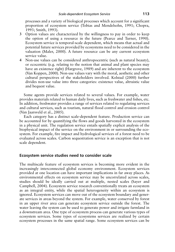processes and a variety of biological processes which account for a significant proportion of ecosystem service (Tobias and Mendelsohn, 1991; Chopra, 1993; Smith, 1993).

- **3** Option values are characterized by the willingness to pay in order to keep the option of using a resource in the future (Pearce and Turner, 1990). Ecosystem service is temporal-scale dependent, which means that actual and potential future services provided by ecosystems need to be considered in the valuation (Maler, 2000). A future resource can be any current ecosystem service value.
- **4** Non-use values can be considered anthropocentric (such as natural beauty), or ecocentric (e.g. relating to the notion that animal and plant species may have an existence right) (Hargrove, 1989) and are inherent to the ecosystem (Van Koppen, 2000). Non-use values vary with the moral, aesthetic and other cultural perspectives of the stakeholders involved. Kolstad (2000) further divides non-use value into three categories: existence value, altruistic value and bequest value.

Some agents provide services related to several values. For example, water provides materials related to human daily lives, such as freshwater and fishes, etc. In addition, freshwater provides a range of services related to regulating services and cultural services, such as tourism, natural flood control and erosion control (Van Jaarsveld et al., 2005).

Each category has a distinct scale-dependent feature. Production service can be accounted for by quantifying the flows and goods harvested in the ecosystem in a physical unit. The regulation service entails spatially explicit analysis of the biophysical impact of the service on the environment in or surrounding the ecosystem. For example, fire impact and hydrological services of a forest need to be evaluated across scales. Carbon sequestration service is an exception that is not scale dependent.

## **Ecosystem service studies need to consider scale**

The multiscale feature of ecosystem services is becoming more evident in the increasingly interconnected global economy environment. Ecosystem services provided at one location can have important implications in far away places. As environmental effects on ecosystem service may be uncorrelated across scales, studies should be ideally carried out at multiple, nested scales (Sayer and Campbell, 2004). Ecosystem service research conventionally treats an ecosystem as an integral entity, while the spatial heterogeneity within an ecosystem is ignored. Ecosystem services can move out of the ecosystem boundary and generate services in areas beyond the system. For example, water conserved by forest in an upper river area can generate ecosystem service outside the forest. The water leaving the system can be used to generate power and irrigate farmland in a downstream area. One type of ecosystem process can generate various types of ecosystem services. Some types of ecosystems services are realized by certain ecosystem processes in the same spatial range. Some ecosystem services can be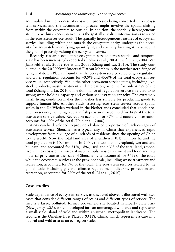accumulated in the process of ecosystem processes being converted into ecosystem services, and the accumulation process might involve the spatial shifting from within the ecosystem to outside. In addition, the spatially heterogeneous structure within an ecosystem entails the spatially explicit information as revealed in the ecosystem service result. The spatially heterogeneous features of ecosystem service, including within and outside the ecosystem entity, underpins the necessity for accurately identifying, quantifying and spatially locating it in achieving the goal of precisely valuing the ecosystem service.

Recently, research evaluating ecosystem service across spatial and temporal scale has been increasingly reported (Holmes et al., 2004; Swift et al., 2004; Van Jaarsveld et al., 2005; Yue et al., 2005; Zhang and Lu, 2010). The study conducted in the 20 000 km<sup>2</sup> Ruoergai Plateau Marshes in the northeastern fringe of Qinghai-Tibetan Plateau found that the ecosystem service value of gas regulation and water regulation accounts for 49.9% and 45.6% of the total ecosystem service value, respectively. While the other ecosystem service items, including livestock products, waste treatment and recreation, account for only 4.5% of the total (Zhang and Lu, 2010). The dominance of regulation service is related to its strong water-holding capacity and carbon sequestration capacity. The extremely harsh living condition makes the marshes less suitable for producing goods to support human life. Another study assessing ecosystem service across spatial scales in the De Wieden wetland in the Netherlands concluded that goods production service, including reed and fish provision, accounted for 14% of the total ecosystem service value. Recreation accounts for 37% and nature conservation accounts for 49% of the total (Hein et al., 2006).

A city can be developed to provide a balanced proportion of each category of ecosystem service. Shenzhen is a typical city in China that experienced rapid development from a village of hundreds of residents since the opening of China to the world. Now the total land area of Shenzhen is 0.19 million ha and the total population is 10.4 million. In 2004, the woodland, cropland, wetland and built-up land accounted for 31%, 18%, 10% and 43% of the total land, respectively. The ecosystem services of water supply, waste treatment and food and raw material provision at the scale of Shenzhen city accounted for 64% of the total, while the ecosystem services at the province scale, including waste treatment and recreation, accounted for 7% of the total. The ecosystem services related to the global scale, including gas and climate regulation, biodiversity protection and recreation, accounted for 29% of the total (Li et al., 2010).

#### **Case studies**

Scale dependence of ecosystem service, as discussed above, is illustrated with two cases that consider different ranges of scales and different types of service. The first is a large, polluted, former brownfield site located in Liberty State Park (New Jersey, USA), which developed into an unmanaged wild area and represents a small-scale island of wildland within an urban, metropolitan landscape. The second is the Qinghai-Tibet Plateau (QTP), China, which represents a case in a natural and wild area at an ecoregion scale.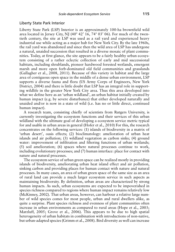#### Liberty State Park Interior

Liberty State Park (LSP) Interior is an approximately 100-ha brownfield wild area located in Jersey City, NJ (40° 42′ 16, 74° 03′ 06). For much of the twentieth century, the site at LSP was used as a rail yard and experienced heavy industrial use while acting as a major hub for New York City. By the late 1960s, the rail yard was abandoned and since then the wild area of LSP has undergone a natural, unaided succession that resulted in a diverse mosaic of plant communities. Today, at first glance, the site appears to be a fairly healthy urban ecosystem consisting of a rather eclectic collection of early and mid successional habitats, including shrublands, pioneer hardwood forested wetlands, emergent marsh and more open forb-dominated old field communities and grasslands (Gallagher et al., 2008, 2011). Because of this variety in habitat and the large area of contiguous open space in the middle of a dense urban environment, LSP supports a diverse fauna and flora (US Army Corps of Engineers, New York District, 2004) and there is little doubt that LSP has an integral role in supporting wildlife in the greater New York City area. Thus this area developed into what we define here as an 'urban wildland', an urban habitat initially created by human impact (e.g. by severe disturbance) that either developed naturally and unaided and/or is now in a state of wild (i.e. has no or little direct, continued human impact).

A research team, consisting chiefly of scientists from Rutgers University, is currently investigating the ecosystem functions and their services of this urban wildland with the ultimate goal of developing a ecosystem service metric typical for and usable in urban areas in general (Hofer et al., 2010) For this, the research concentrates on the following services: (1) islands of biodiversity in a matrix of 'urban desert', oasis effects; (2) bioclimatology: amelioration of urban heat islands and air pollution; (3) wildland vegetation as carbon sinks; (4) ground water: improvement of infiltration and filtering functions of urban wetlands; (5) soil amelioration; (6) spaces where natural processes continue to work, including evolutionary processes; and (7) human interface: place for contact with nature and natural processes.

The ecosystem service of urban green space can be realized mostly in providing islands of biodiversity, ameliorating urban heat island effect and air pollution, sinking carbon and providing places for human contact with nature and natural processes. In many cases, an area of urban green space of the same size as an area of rural land can provide a much larger ecosystem service in such aspects as maintaining biodiversity. By definition, urban areas are characterized by strong human impacts. As such, urban ecosystems are expected to be impoverished in species richness compared to regions where human impact remains relatively low (McKinney, 2002). That urban areas, however, can harbour a relative large number of wild species comes for most people, urban and rural dwellers alike, as quite a surprise. Plant species richness and evenness of plant communities often increase in urban environments as compared to rural areas (Hope et al., 2003; Marzluff, 2005; Grove et al., 2006). This appears to be due to high spatial heterogeneity of urban habitats in combination with introductions of non-native, but urban-adapted species (Grimm et al., 2008). Bird diversity as well can increase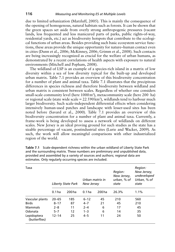due to limited urbanization (Marzluff, 2005). This is mainly the consequence of the opening of homogenous, natural habitats such as forests. It can be shown that the green spaces set aside from overly strong anthropogenic pressures (vacant lands, less frequented and less manicured parts of parks, public rights-of-way, residential yards, etc.) act as biodiversity hotspots that contribute to the ecological functions of urban areas. Besides providing such basic ecosystem service functions, these areas provide the unique opportunity for nature–human contact even in cities (Dunn et al., 2006; McKinney, 2006; Grimm et al., 2008). Such contacts are being increasingly recognized as crucial for the welfare of urban humans, as demonstrated by a recent correlations of health aspects with exposure to natural environments (Mitchell and Popham, 2008).

The wildland of LSP is an example of a species-rich island in a matrix of low diversity within a sea of low diversity typical for the built-up and developed urban matrix. Table 7.1 provides an overview of this biodiversity concentration for a number of plant and animal taxa. Table 7.1 illustrates that the precipitous differences in species richness and therefore biodiversity between wildland and urban matrix is consistent between scales. Regardless of whether one considers small-scale community level (here 1000 m2 ), metacommunity scale (here 200 ha) or regional scale (state wide scale =  $22\,590\,\mathrm{km^2}$ ), wildlands tend to harbour much larger biodiversity. Such scale-independent differential effects when considering intensively human-used patches and landscape with lesser-used sites has been noted before (Savard et al., 2000). Table 7.1 provides an overview of this biodiversity concentration for a number of plant and animal taxa. Currently, a frame-work is being developed to assess a network of wildlands on different scales. New Jersey is an ideal proving ground for such studies as the state has a sizable percentage of vacant, postindustrial sites (Lurie and Wacker, 2009). As such, the work will allow meaningful comparisons with other industrialized region of the world.

| Taxa                         |                    |                   |                               |        | Region:                             | Region:<br>New Jersey,              |  |
|------------------------------|--------------------|-------------------|-------------------------------|--------|-------------------------------------|-------------------------------------|--|
|                              | Liberty State Park |                   | Urban matrix in<br>New Jersey |        | New Jersey,<br>urban, % of<br>state | undeveloped<br>Urban, % of<br>state |  |
|                              | $0.1$ ha           | 200 <sub>ha</sub> | $0.1$ ha                      | 200 ha | 26.3%                               | 1.1%                                |  |
| Vascular plants              | $20 - 65$          | 185               | $6 - 12$                      | 45     | 210                                 | 560                                 |  |
| <b>Birds</b>                 | $8 - 17$           | 87                | $4 - 7$                       | 21     | 45                                  | 210                                 |  |
| Mammals                      | $2 - 8$            | 11                | $2 - 4$                       | 6      | 17                                  | 45                                  |  |
| Odonata                      | $5 - 7$            | 12                | $1 - 3$                       | 6      | 14                                  | 35                                  |  |
| Lepidoptera<br>(butterflies) | $12 - 14$          | 25                | $4 - 5$                       | 11     | 24                                  | 50                                  |  |

**Table 7.1** Scale-dependent richness within the urban wildland of Liberty State Park and the surrounding matrix. These numbers are preliminary and unpublished data, provided and assembled by a variety of sources and authors; regional data are estimates. Only regularly occurring species are included.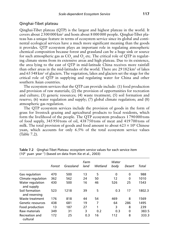#### Qinghai-Tibet plateau

Qinghai-Tibet plateau (QTP) is the largest and highest plateau in the world. It covers about 2 500 000 km<sup>2</sup> and hosts about 8 000 000 people. Qinghai-Tibet plateau has a unique feature in terms of ecosystem service since its global and continental ecological services have a much more significant meaning than the goods it provides. QTP ecosystem plays an important role in regulating atmospheric chemical composition because forest and grassland can be a huge sink or source for such atmospheric gas as  $CO_2$  and  $O_2$  etc. The critical role of QTP in regulating climate stems from its extensive areas and high plateau. Due to its existence, the area lying to the east of QTP in mid-latitude China receives more rainfall than other areas in the mid-latitudes of the world. There are  $29\,182\,\mathrm{km^2}$  of lakes and 65 548 km<sup>2</sup> of glaciers. The vegetation, lakes and glaciers set the stage for the critical role of QTP in supplying and regulating water for China and other southern Asian countries.

The ecosystem services that the QTP can provide include: (1) food production and provision of raw materials; (2) the provision of opportunities for recreation and culture; (3) generic resources; (4) waste treatment; (5) soil formation and reserve; (6) water regulation and supply; (7) global climate regulation; and (8) atmospheric gas regulation.

The QTP ecosystem services include the provision of goods in the form of grass for livestock grazing and agricultural products to local residents, which form the livelihood of the people. The QTP ecosystem produces 1 790 000 tons of food supply, 345 950 tons of oil, 438 750 tons of meat and 419 700 tons of milk. The total provision of goods and food amount to about  $623 \times 10^8$  Chinese yuan, which accounts for only 6.5% of the total ecosystem service values (Table 7.2).

|                                 |        |           | Farm |         | Water    |        |        |
|---------------------------------|--------|-----------|------|---------|----------|--------|--------|
|                                 | Forest | Grassland | land | Wetland | body     | Desert | Total  |
| Gas regulation                  | 470    | 500       | 13   | 5       | $\Omega$ | 0      | 988    |
| Climate regulation              | 362    | 562       | 24   | 50      | 12       | 0      | 1010   |
| Water regulation<br>and supply  | 430    | 500       | 16   | 46      | 526      | 25     | 1543   |
| Soil formation<br>and reserving | 523    | 1218      | 39   | 5       | 0.3      | 17     | 1802.3 |
| Waste treatment                 | 176    | 818       | 44   | 54      | 469      | 8      | 1569   |
| Genetic resources               | 438    | 681       | 19   | 7       | 64       | 286    | 1495   |
| Food production                 | 13     | 187       | 27   | 1       | 3        | 8      | 239    |
| Raw materials                   | 349    | 31        | 3    | 0.2     | 0.3      | 0      | 383.5  |
| Recreation and<br>cultural      | 172    | 25        | 0.3  | 16      | 112      | 8      | 333.3  |

**Table 7.2** Qinghai-Tibet Plateau: ecosystem service values for each service item (108 yuan year−1) (based on data from Xie et al., 2003)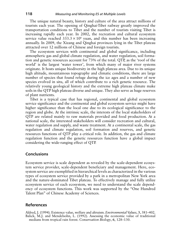The unique natural beauty, history and culture of the area attract millions of tourists each year. The opening of Qinghai-Tibet railway greatly improved the transportation conditions to Tibet and the number of tourists visiting Tibet is increasing rapidly each year. In 2002, the recreation and cultural ecosystem service value reached  $333.3 \times 10^8$  yuan, and this number has been increasing annually. In 2009, the Xizang and Qinghai provinces lying in the Tibet plateau attracted over 12 millions of Chinese and foreign tourists.

The ecosystem services with continental and global significance, including atmospheric gas and global climate regulation, and water regulation, soil formation and genetic resources account for 73% of the total. QTP, as the 'roof of the world' is the largest 'water tower', from which many of major river systems originate. It hosts unique biodiversity in the high plateau area. Due to its unique high altitude, mountainous topography and climatic conditions, there are large number of species that found refuge during the ice ages and a number of new species evolved in situ, all of which contribute to a rich genetic resource. The relatively young geological history and the extreme high plateau climate make soils in the QTP high plateau diverse and unique. They also serve as huge reserves of plant nutrients.

Tibet is a typical case that has regional, continental and global ecosystem service significance and the continental and global ecosystem service might have higher significance than the local one due to its ecological significance to the region and globe. At the intrinsic scale, the interests of the local stakeholders of QTP are related mainly to raw materials provided and food production. At a national scale, the interested stakeholders will consider recreation and cultural, water regulation and supply, and waste treatment. At a continental scale, the gas regulation and climate regulation, soil formation and reserves, and genetic resources functions of QTP play a critical role. In addition, the gas and climate regulation function and the genetic resources function have a global impact considering the wide-ranging effect of QTP.

#### **Conclusions**

Ecosystem service is scale dependent as revealed by the scale-dependent ecosystem service provider, scale-dependent beneficiary and management. Here, ecosystem service are exemplified in hierarchical levels as characterized in the various types of ecosystem service provided by a park in a metropolitan New York area and the nature-dominated Tibet plateau. To effectively manage and fully utilize ecosystem service of each ecosystem, we need to understand the scale dependency of ecosystem functions. This work was supported by the "One Hundred Talent Plan" of Chinese Academy of Sciences.

#### **References**

Aldred, J. (1994). Existence value, welfare and altruism. *Environmental Values*, **3**, 381–402. Balick, M.J. and Mendelsohn, L. (1992). Assessing the economic value of traditional medians from tropical rain forest. *Conservation Biology*, **6**, 128–130.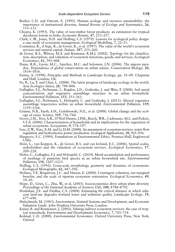- Becker, C.D. and Ostrom, E. (1995). Human ecology and resource sustainability: the importance of institutional diversity. *Annual Review of Ecology and Systematics*, **26**, 113–133.
- Chopra, K. (1993). The value of non-timber forest products: an estimation for tropical deciduous forests in India. *Economic Botany*, **47**, 251–257.
- Clark, C.W., Jones, D.D. and Holling, C.S. (1979). Lessons for ecological policy design: a case study of ecosystem management. *Ecological Modelling*, **7**, 22–53.
- Constanza, R., d'Arge, R., de Groot, R., et al. (1997). The value of the world's ecosystem services and natural capital. *Nature*, **387**, 253–260.
- de Groot, R.S., Wilson, M.A. and Boumans, R.M.J. (2002). Typology for the classification, description, and valuation of ecosystem functions, goods, and services. *Ecological Economics*, **41**, 393–408.
- Dunn, R.R., Gavin, M.C., Sanchez, M.C. and Solomon, J.N. (2006). The pigeon paradox: Dependence of global conservation on urban nature. *Conservation Biology*, **20**, 1814–1816.
- Farina, A. (1998). *Principles and Methods in Landscape Ecology*, pp. 35–49. Chapman and Hall, London, UK.
- Fu, B., Lu, Y. and Chen, L. (2008). The latest progress of landscape ecology in the world. *Acta Ecologica Sinica*, **28**, 798–804.
- Gallagher, F.J., Pechmann, I., Bogden, J.D., Grabosky, J. and Weis, P. (2008). Soil metal concentrations and vegetative assemblage structure in an urban brownfield. *Environmental Pollution*, **153**, 351–361.
- Gallagher, F.J., Pechmann, I., Holzapfel, C. and Grabosky, J. (2011). Altered vegetative assemblage trajectories within an urban brownfield. *Environmental Pollution*, **159**, 1159–1166.
- Grimm, N.B., Faeth, S.H., Golubiewski, N.E., et al. (2008). Global change and the ecology of cities. *Science*, **319**, 756–760.
- Grove, J.M., Troy, A.R., O'Neil-Dunne, J.P.M., Burch, W.R., Cadenasso, M.L. and Pickett, S.T.A. (2006). Characterization of households and its implications for the vegetation of urban ecosystems. *Ecosystems*, **9**, 578–597.
- Guo, Z.W., Xiao, X.M. and Li, D.M. (2000). An assessment of ecosystem services: water flow regulation and hydroelectric power production. *Ecological Applications*, **10**, 925–936.
- Hargrove, E.C. (1989). *Foundations of Environmental Ethics*. Prentice-Hall, Englewood Cliffs.
- Hein, L., van Koppen, K., de Groot, R.S. and van Ierland, E.C. (2006). Spatial scales, stakeholders and the valuation of ecosystem services. *Ecological Economics*, **57**, 209–228.
- Hofer, C., Gallagher, F.J. and Holzapfel, C. (2010). Metal accumulation and performance of nestlings of passerine bird species at an urban brownfield site. *Environmental Pollution*, **158**, 1207–1213.
- Holling, C.S. (1992). Cross-scale morphology, geometry and dynamics of ecosystems. *Ecological Monographs*, **62**, 447–502.
- Holmes, T.P., Bergstrom, J.C. and Huszar, E. (2004). Contingent valuation, net marginal benefits, and the scale of riparian ecosystem restoration. *Ecological Economics*, **49**, 19–30.
- Hope, D., Gries, C., Zhu, W., et al. (2003). Socioeconomics drive urban plant diversity. *Proceedings of the National Academy of Sciences USA*, **100**, 8788–8792.
- Houlahan, J.E. and Findlay, C.S. (2004). Estimating the critical distance at which adjacent land-use degrades wetland water and sediment quality. *Landscape Ecology*, **19**, 677–690.
- Hufschmidt, M. (1983). *Environment, Natural Systems and Development, and Economic Valuation Guide*. John Hopkins University Press, London.
- Kaiser, B. and Roumasset, J. (2002). Valuing indirect ecosystem services: the case of tropical watersheds. *Environment and Development Economics*, **7**, 701–714.
- Kolstad, C.D. (2000). *Environmental Economics*. Oxford University Press, New York, Oxford.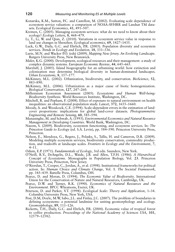- Konarska, K.M., Sutton, P.C. and Castellon, M. (2002). Evaluating scale dependence of ecosystem service valuation: a comparison of NOAA-AVHRR and Landsat TM datasets. *Ecological Economics*, **41**, 491–507.
- Kremen, C. (2005). Managing ecosystem services: what do we need to know about their ecology? *Ecology Letters*, **8**, 468–479.
- Li, T., Li, W. and Qian, Z. (2010). Variations in ecosystem service value in response to land use changes in Shenzhen. *Ecological economics*, **69**, 1427–1435.
- Luck, G.W., Daily, G.C. and Ehrlich, P.R. (2003). Population diversity and ecosystem services. *Trends in Ecology and Evolution*, **18**, 331–336.
- Lurie, M.N. and Wacker P.O. (eds) (2009). *Mapping New Jersey. An Evolving Landscape*. Rutgers University Press, New Brunswick.
- Maler, K.G. (2000). Development, ecological resources and their management: a study of complex dynamic systems. *European Economic Review*, **44**, 645–665.
- Marzluff, J. (2005). Island biogeography for an urbanizing world: how extinction and colonization may determine biological diversity in human-dominated landscapes. *Urban Ecosystems*, **8**, 157–177.
- McKinney, M.L. (2002). Urbanization, biodiversity, and conservation. *BioScience*, **52**, 883–890.
- McKinney, M.L. (2006). Urbanization as a major cause of biotic homogenization. *Biological Conservation*, **127**, 247–260.
- Millennium Ecosystem Assessment (2005). *Ecosystems and Human Well-being: Biodiversity Synthesis*. World Resources Institute, Washington, DC.
- Mitchell, R. and Popham, F. (2008). Effect of exposure to natural environment on health inequalities: an observational population study. *Lancet*, **372**, 1655–1660.
- Moody, A. and Woodcock, C.E. (1994). Scale-dependent errors in the estimation of landcover proportions: implications for global land-cover datasets. *Photogrammetric Engineering and Remote Sensing*, **60**, 585–594.
- Munasinghe, M. and Schwab, A. (1993). *Environmental Economics and Natural Resource Management in Developing Countries*. World Bank, Washington, DC.
- Naeem, S. (2009). Biodiversity, ecosystem functioning, and ecosystem services. In: *The Princeton Guide to Ecology* (ed. S.A. Levin), pp. 584–590. Princeton University Press, Princeton.
- Nelson, E., Mendoza, G., Regetz, J., Polasky, S., Tallis, H. and Cameron, D.R. (2009). Modeling multiple ecosystem services, biodiversity conservation, commodity production, and tradeoffs at landscape scales. *Frontiers in Ecology and the Environment*, **7**, 4–11.
- Odum, E.P. (1971). *Fundamentals of Ecology*, 3rd edn. Saunders, New York.
- O'Neill, R.V., DeAngelis, D.L., Waide, J.B. and Allen, T.F.H. (1986). *A Hierarchical Concept of Ecosystems*. Monographs in Population Biology, Vol. **23**. Princeton University Press, Princeton, New Jersey.
- O'Riordan, T., Cooper, C., Jordan, A., et al. (1998). Institutional frameworks for political action. In: *Human Choice and Climate Change*, Vol. **1**. *The Societal Framework*, pp. 345–439. Battelle Press, Columbus, OH.
- Pearce, D. and Moran, D. (1994). *The Economic Value of Biodiversity*. International Union for the Conservation of Nature and Natural Resources, Cambridge, UK.
- Pearce, D.W. and Turner, R.K. (1990). *Economics of Natural Resources and the Environment*. BPCC Wheatsons, Exeter, UK.
- Peterson, D. and Parker, V.T. (1998). *Ecological Scale: Theory and Application*, 1–34. Columbia University Press, New York, USA.
- Post, D.M, Doyle, M.W, Sabo, J.L. and Finlay, J.C. (2007). The problem of boundaries in defining ecosystems: a potential landmine for uniting geomorphology and ecology. *Geomorphology*, **89**, 111–126.
- Ricketts, T.H., Daily, G.C. and Ehrlich, P.R. (2004). Economic value of tropical forest to coffee production. *Proceedings of the National Academy of Sciences USA*, **101**, 12579–12582.